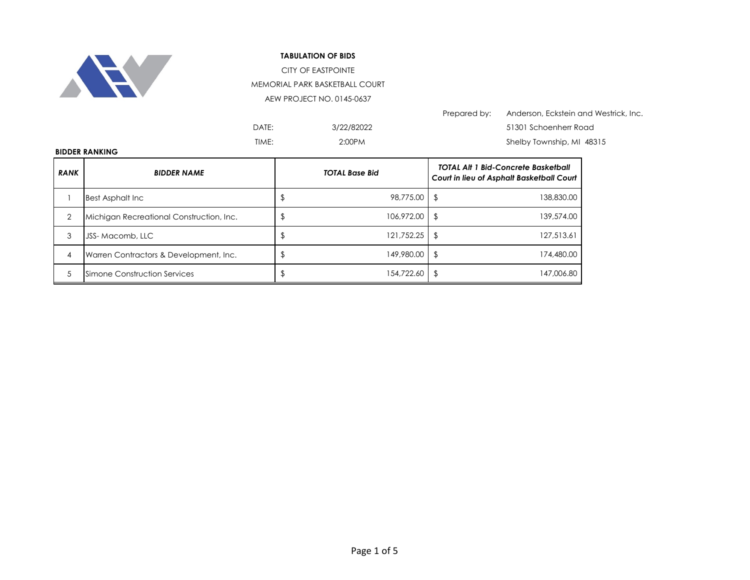

## **TABULATION OF BIDS**

CITY OF EASTPOINTE MEMORIAL PARK BASKETBALL COURT

AEW PROJECT NO. 0145-0637

|       |            | Prepared by: | Anderson, Eckstein and Westrick, Inc. |
|-------|------------|--------------|---------------------------------------|
| DATE: | 3/22/82022 |              | 51301 Schoenherr Road                 |
| TIME: | 2:00PM     |              | Shelby Township, MI 48315             |

## **BIDDER RANKING**

| <b>RANK</b> | <b>BIDDER NAME</b>                       | <b>TOTAL Base Bid</b> |            | <b>TOTAL Alt 1 Bid-Concrete Basketball</b><br>Court in lieu of Asphalt Basketball Court |  |
|-------------|------------------------------------------|-----------------------|------------|-----------------------------------------------------------------------------------------|--|
|             | <b>Best Asphalt Inc.</b>                 |                       | 98,775,00  | 138,830.00                                                                              |  |
|             | Michigan Recreational Construction, Inc. |                       | 106,972.00 | 139,574.00<br>\$                                                                        |  |
| 3           | JSS-Macomb, LLC                          |                       | 121,752.25 | 127,513.61<br>S                                                                         |  |
| 4           | Warren Contractors & Development, Inc.   |                       | 149,980.00 | 174,480.00<br>S                                                                         |  |
| 5           | Simone Construction Services             |                       | 154,722.60 | 147,006.80                                                                              |  |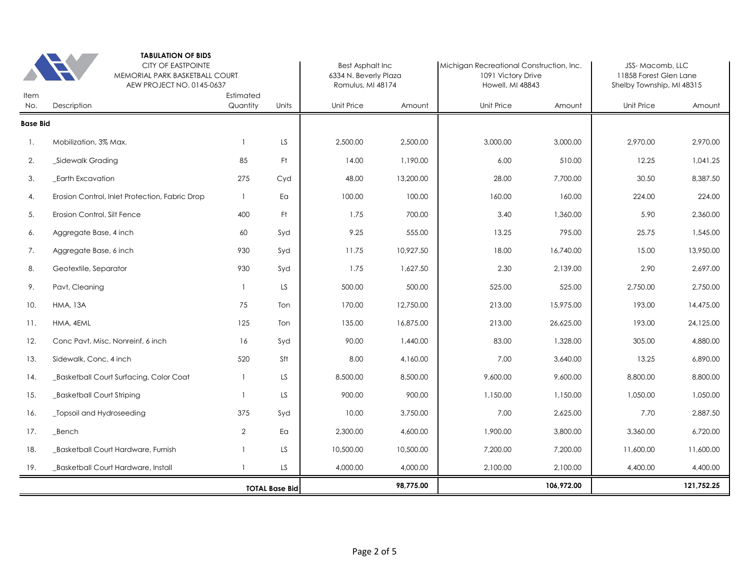|                 | <b>TABULATION OF BIDS</b><br><b>CITY OF EASTPOINTE</b><br>MEMORIAL PARK BASKETBALL COURT<br>AEW PROJECT NO. 0145-0637 |                       |                       |            | <b>Best Asphalt Inc</b><br>6334 N. Beverly Plaza<br>Romulus, MI 48174 |                   | Michigan Recreational Construction, Inc.<br>1091 Victory Drive<br>Howell, MI 48843 |            | JSS-Macomb, LLC<br>11858 Forest Glen Lane<br>Shelby Township, MI 48315 |  |
|-----------------|-----------------------------------------------------------------------------------------------------------------------|-----------------------|-----------------------|------------|-----------------------------------------------------------------------|-------------------|------------------------------------------------------------------------------------|------------|------------------------------------------------------------------------|--|
| Item<br>No.     | Description                                                                                                           | Estimated<br>Quantity | Units                 | Unit Price | Amount                                                                | <b>Unit Price</b> | Amount                                                                             | Unit Price | Amount                                                                 |  |
| <b>Base Bid</b> |                                                                                                                       |                       |                       |            |                                                                       |                   |                                                                                    |            |                                                                        |  |
| 1.              | Mobilization, 3% Max.                                                                                                 | $\overline{1}$        | LS.                   | 2,500.00   | 2,500.00                                                              | 3,000.00          | 3,000.00                                                                           | 2,970.00   | 2,970.00                                                               |  |
| 2.              | _Sidewalk Grading                                                                                                     | 85                    | Ft.                   | 14.00      | 1,190.00                                                              | 6.00              | 510.00                                                                             | 12.25      | 1.041.25                                                               |  |
| 3.              | Earth Excavation                                                                                                      | 275                   | Cyd                   | 48.00      | 13,200.00                                                             | 28.00             | 7,700.00                                                                           | 30.50      | 8,387.50                                                               |  |
| 4.              | Erosion Control, Inlet Protection, Fabric Drop                                                                        | $\overline{1}$        | Ea                    | 100.00     | 100.00                                                                | 160.00            | 160.00                                                                             | 224.00     | 224.00                                                                 |  |
| 5.              | Erosion Control, Silt Fence                                                                                           | 400                   | Ft.                   | 1.75       | 700.00                                                                | 3.40              | 1,360.00                                                                           | 5.90       | 2,360.00                                                               |  |
| 6.              | Aggregate Base, 4 inch                                                                                                | 60                    | Syd                   | 9.25       | 555.00                                                                | 13.25             | 795.00                                                                             | 25.75      | 1,545.00                                                               |  |
| 7.              | Aggregate Base, 6 inch                                                                                                | 930                   | Syd                   | 11.75      | 10,927.50                                                             | 18.00             | 16,740.00                                                                          | 15.00      | 13,950.00                                                              |  |
| 8.              | Geotextile, Separator                                                                                                 | 930                   | Syd                   | 1.75       | 1,627.50                                                              | 2.30              | 2,139.00                                                                           | 2.90       | 2.697.00                                                               |  |
| 9.              | Pavt, Cleaning                                                                                                        | $\overline{1}$        | LS.                   | 500.00     | 500.00                                                                | 525.00            | 525.00                                                                             | 2,750.00   | 2,750.00                                                               |  |
| 10.             | <b>HMA, 13A</b>                                                                                                       | 75                    | Ton                   | 170.00     | 12,750.00                                                             | 213.00            | 15,975.00                                                                          | 193.00     | 14,475.00                                                              |  |
| 11.             | HMA, 4EML                                                                                                             | 125                   | Ton                   | 135.00     | 16,875.00                                                             | 213.00            | 26,625.00                                                                          | 193.00     | 24,125.00                                                              |  |
| 12.             | Conc Pavt, Misc, Nonreinf, 6 inch                                                                                     | 16                    | Syd                   | 90.00      | 1,440.00                                                              | 83.00             | 1,328.00                                                                           | 305.00     | 4.880.00                                                               |  |
| 13.             | Sidewalk, Conc, 4 inch                                                                                                | 520                   | Sft                   | 8.00       | 4,160.00                                                              | 7.00              | 3,640.00                                                                           | 13.25      | 6,890.00                                                               |  |
| 14.             | _Basketball Court Surfacing, Color Coat                                                                               | $\overline{1}$        | LS.                   | 8,500.00   | 8,500.00                                                              | 9,600.00          | 9,600.00                                                                           | 8,800,00   | 8,800.00                                                               |  |
| 15.             | _Basketball Court Striping                                                                                            | $\overline{1}$        | LS.                   | 900.00     | 900.00                                                                | 1,150.00          | 1,150.00                                                                           | 1,050.00   | 1,050.00                                                               |  |
| 16.             | _Topsoil and Hydroseeding                                                                                             | 375                   | Syd                   | 10.00      | 3.750.00                                                              | 7.00              | 2,625.00                                                                           | 7.70       | 2.887.50                                                               |  |
| 17.             | Bench                                                                                                                 | $\overline{2}$        | Ea                    | 2,300.00   | 4,600.00                                                              | 1,900.00          | 3,800.00                                                                           | 3,360.00   | 6,720.00                                                               |  |
| 18.             | Basketball Court Hardware, Furnish                                                                                    | $\mathbf{1}$          | LS.                   | 10,500.00  | 10,500.00                                                             | 7,200.00          | 7,200.00                                                                           | 11,600.00  | 11,600.00                                                              |  |
| 19.             | Basketball Court Hardware, Install                                                                                    | $\mathbf{1}$          | LS.                   | 4,000.00   | 4,000.00                                                              | 2,100.00          | 2,100.00                                                                           | 4,400.00   | 4,400.00                                                               |  |
|                 |                                                                                                                       |                       | <b>TOTAL Base Bid</b> |            | 98,775.00                                                             |                   | 106,972.00                                                                         |            | 121,752.25                                                             |  |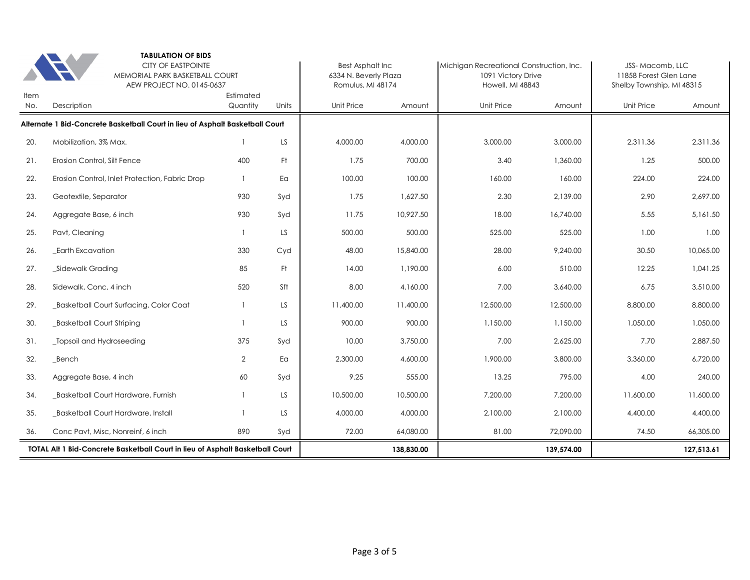|                    | <b>TABULATION OF BIDS</b><br><b>CITY OF EASTPOINTE</b><br>MEMORIAL PARK BASKETBALL COURT<br>AEW PROJECT NO. 0145-0637 |                       |       | <b>Best Asphalt Inc</b><br>6334 N. Beverly Plaza<br>Romulus, MI 48174 |            | Michigan Recreational Construction, Inc.<br>1091 Victory Drive<br>Howell, MI 48843 |            | JSS-Macomb, LLC<br>11858 Forest Glen Lane<br>Shelby Township, MI 48315 |            |
|--------------------|-----------------------------------------------------------------------------------------------------------------------|-----------------------|-------|-----------------------------------------------------------------------|------------|------------------------------------------------------------------------------------|------------|------------------------------------------------------------------------|------------|
| <b>Item</b><br>No. | Description                                                                                                           | Estimated<br>Quantity | Units | Unit Price                                                            | Amount     | <b>Unit Price</b>                                                                  | Amount     | <b>Unit Price</b>                                                      | Amount     |
|                    | Alternate 1 Bid-Concrete Basketball Court in lieu of Asphalt Basketball Court                                         |                       |       |                                                                       |            |                                                                                    |            |                                                                        |            |
| 20.                | Mobilization, 3% Max.                                                                                                 | $\mathbf{1}$          | LS    | 4,000.00                                                              | 4,000.00   | 3,000.00                                                                           | 3,000.00   | 2,311.36                                                               | 2,311.36   |
| 21.                | Erosion Control, Silt Fence                                                                                           | 400                   | Ft.   | 1.75                                                                  | 700.00     | 3.40                                                                               | 1,360.00   | 1.25                                                                   | 500.00     |
| 22.                | Erosion Control, Inlet Protection, Fabric Drop                                                                        | $\overline{1}$        | Ea    | 100.00                                                                | 100.00     | 160.00                                                                             | 160.00     | 224.00                                                                 | 224.00     |
| 23.                | Geotextile, Separator                                                                                                 | 930                   | Syd   | 1.75                                                                  | 1,627.50   | 2.30                                                                               | 2,139.00   | 2.90                                                                   | 2.697.00   |
| 24.                | Aggregate Base, 6 inch                                                                                                | 930                   | Syd   | 11.75                                                                 | 10,927.50  | 18.00                                                                              | 16,740.00  | 5.55                                                                   | 5,161.50   |
| 25.                | Pavt, Cleaning                                                                                                        | $\overline{1}$        | LS.   | 500.00                                                                | 500.00     | 525.00                                                                             | 525.00     | 1.00                                                                   | 1.00       |
| 26.                | Earth Excavation                                                                                                      | 330                   | Cyd   | 48.00                                                                 | 15,840.00  | 28.00                                                                              | 9,240.00   | 30.50                                                                  | 10,065.00  |
| 27.                | _Sidewalk Grading                                                                                                     | 85                    | Ft.   | 14.00                                                                 | 1,190.00   | 6.00                                                                               | 510.00     | 12.25                                                                  | 1,041.25   |
| 28.                | Sidewalk, Conc, 4 inch                                                                                                | 520                   | Sft   | 8.00                                                                  | 4,160.00   | 7.00                                                                               | 3,640.00   | 6.75                                                                   | 3,510.00   |
| 29.                | <b>Basketball Court Surfacing, Color Coat</b>                                                                         | $\overline{1}$        | LS    | 11,400.00                                                             | 11,400.00  | 12,500.00                                                                          | 12,500.00  | 8,800.00                                                               | 8,800.00   |
| 30.                | _Basketball Court Striping                                                                                            | $\mathbf{1}$          | LS.   | 900.00                                                                | 900.00     | 1,150.00                                                                           | 1.150.00   | 1,050.00                                                               | 1.050.00   |
| 31.                | Topsoil and Hydroseeding                                                                                              | 375                   | Syd   | 10.00                                                                 | 3.750.00   | 7.00                                                                               | 2,625.00   | 7.70                                                                   | 2.887.50   |
| 32.                | Bench                                                                                                                 | $\overline{2}$        | Ea    | 2,300.00                                                              | 4,600.00   | 1,900.00                                                                           | 3,800.00   | 3,360.00                                                               | 6.720.00   |
| 33.                | Aggregate Base, 4 inch                                                                                                | 60                    | Syd   | 9.25                                                                  | 555.00     | 13.25                                                                              | 795.00     | 4.00                                                                   | 240.00     |
| 34.                | Basketball Court Hardware, Furnish                                                                                    |                       | LS.   | 10,500.00                                                             | 10,500.00  | 7,200.00                                                                           | 7,200.00   | 11,600.00                                                              | 11,600.00  |
| 35.                | <b>Basketball Court Hardware, Install</b>                                                                             | $\mathbf{1}$          | LS.   | 4,000.00                                                              | 4,000.00   | 2,100.00                                                                           | 2,100.00   | 4,400.00                                                               | 4,400.00   |
| 36.                | Conc Pavt, Misc, Nonreinf, 6 inch                                                                                     | 890                   | Syd   | 72.00                                                                 | 64,080.00  | 81.00                                                                              | 72,090.00  | 74.50                                                                  | 66,305.00  |
|                    | TOTAL Alt 1 Bid-Concrete Basketball Court in lieu of Asphalt Basketball Court                                         |                       |       |                                                                       | 138,830.00 |                                                                                    | 139,574.00 |                                                                        | 127,513.61 |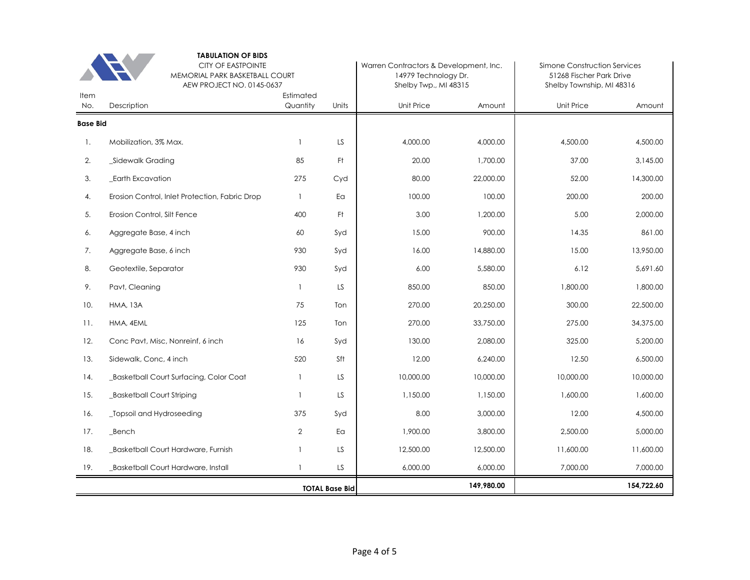|                 | <b>TABULATION OF BIDS</b><br><b>CITY OF EASTPOINTE</b><br>MEMORIAL PARK BASKETBALL COURT<br>AEW PROJECT NO. 0145-0637<br>Estimated |                | Warren Contractors & Development, Inc.<br>14979 Technology Dr.<br>Shelby Twp., MI 48315 |            | Simone Construction Services<br>51268 Fischer Park Drive<br>Shelby Township, MI 48316 |            |            |
|-----------------|------------------------------------------------------------------------------------------------------------------------------------|----------------|-----------------------------------------------------------------------------------------|------------|---------------------------------------------------------------------------------------|------------|------------|
| Item<br>No.     | Description                                                                                                                        | Quantity       | Units                                                                                   | Unit Price | Amount                                                                                | Unit Price | Amount     |
| <b>Base Bid</b> |                                                                                                                                    |                |                                                                                         |            |                                                                                       |            |            |
| $\mathbf{1}$ .  | Mobilization, 3% Max.                                                                                                              | 1              | LS.                                                                                     | 4.000.00   | 4,000.00                                                                              | 4,500.00   | 4,500.00   |
| 2.              | _Sidewalk Grading                                                                                                                  | 85             | Ft.                                                                                     | 20.00      | 1,700.00                                                                              | 37.00      | 3,145.00   |
| 3.              | _Earth Excavation                                                                                                                  | 275            | Cyd                                                                                     | 80.00      | 22,000.00                                                                             | 52.00      | 14,300.00  |
| 4.              | Erosion Control, Inlet Protection, Fabric Drop                                                                                     | $\mathbf{1}$   | Ea                                                                                      | 100.00     | 100.00                                                                                | 200.00     | 200.00     |
| 5.              | Erosion Control, Silt Fence                                                                                                        | 400            | Ft.                                                                                     | 3.00       | 1,200.00                                                                              | 5.00       | 2,000.00   |
| 6.              | Aggregate Base, 4 inch                                                                                                             | 60             | Syd                                                                                     | 15.00      | 900.00                                                                                | 14.35      | 861.00     |
| 7.              | Aggregate Base, 6 inch                                                                                                             | 930            | Syd                                                                                     | 16.00      | 14,880.00                                                                             | 15.00      | 13,950.00  |
| 8.              | Geotextile, Separator                                                                                                              | 930            | Syd                                                                                     | 6.00       | 5,580.00                                                                              | 6.12       | 5,691.60   |
| 9.              | Pavt, Cleaning                                                                                                                     | $\mathbf{1}$   | LS                                                                                      | 850.00     | 850.00                                                                                | 1,800.00   | 1,800.00   |
| 10.             | <b>HMA, 13A</b>                                                                                                                    | 75             | Ton                                                                                     | 270.00     | 20,250.00                                                                             | 300.00     | 22,500.00  |
| 11.             | HMA, 4EML                                                                                                                          | 125            | Ton                                                                                     | 270.00     | 33,750.00                                                                             | 275.00     | 34,375.00  |
| 12.             | Conc Pavt, Misc, Nonreinf, 6 inch                                                                                                  | 16             | Syd                                                                                     | 130.00     | 2,080.00                                                                              | 325.00     | 5,200.00   |
| 13.             | Sidewalk, Conc, 4 inch                                                                                                             | 520            | Sft                                                                                     | 12.00      | 6,240.00                                                                              | 12.50      | 6,500.00   |
| 14.             | Basketball Court Surfacing, Color Coat                                                                                             | $\mathbf{1}$   | LS                                                                                      | 10,000.00  | 10,000.00                                                                             | 10,000.00  | 10,000.00  |
| 15.             | _Basketball Court Striping                                                                                                         | $\mathbf{1}$   | LS                                                                                      | 1,150.00   | 1,150.00                                                                              | 1,600.00   | 1,600.00   |
| 16.             | _Topsoil and Hydroseeding                                                                                                          | 375            | Syd                                                                                     | 8.00       | 3,000.00                                                                              | 12.00      | 4,500.00   |
| 17.             | Bench                                                                                                                              | $\overline{2}$ | Ea                                                                                      | 1,900.00   | 3,800.00                                                                              | 2,500.00   | 5,000.00   |
| 18.             | _Basketball Court Hardware, Furnish                                                                                                | 1              | LS                                                                                      | 12,500.00  | 12,500.00                                                                             | 11,600.00  | 11,600.00  |
| 19.             | _Basketball Court Hardware, Install                                                                                                | $\mathbf{1}$   | LS.                                                                                     | 6,000.00   | 6,000.00                                                                              | 7,000.00   | 7,000.00   |
|                 |                                                                                                                                    |                | <b>TOTAL Base Bid</b>                                                                   |            | 149,980.00                                                                            |            | 154,722.60 |